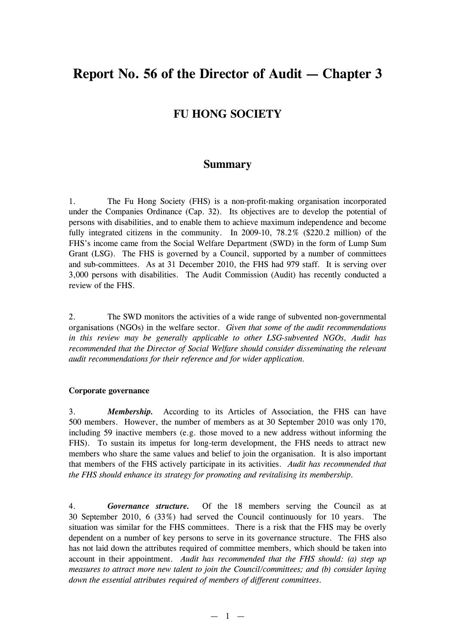# **Report No. 56 of the Director of Audit — Chapter 3**

## **FU HONG SOCIETY**

### **Summary**

1. The Fu Hong Society (FHS) is a non-profit-making organisation incorporated under the Companies Ordinance (Cap. 32). Its objectives are to develop the potential of persons with disabilities, and to enable them to achieve maximum independence and become fully integrated citizens in the community. In 2009-10, 78.2% (\$220.2 million) of the FHS's income came from the Social Welfare Department (SWD) in the form of Lump Sum Grant (LSG). The FHS is governed by a Council, supported by a number of committees and sub-committees. As at 31 December 2010, the FHS had 979 staff. It is serving over 3,000 persons with disabilities. The Audit Commission (Audit) has recently conducted a review of the FHS.

2. The SWD monitors the activities of a wide range of subvented non-governmental organisations (NGOs) in the welfare sector. *Given that some of the audit recommendations in this review may be generally applicable to other LSG-subvented NGOs, Audit has recommended that the Director of Social Welfare should consider disseminating the relevant audit recommendations for their reference and for wider application.*

#### **Corporate governance**

3. *Membership.* According to its Articles of Association, the FHS can have 500 members. However, the number of members as at 30 September 2010 was only 170, including 59 inactive members (e.g. those moved to a new address without informing the FHS). To sustain its impetus for long-term development, the FHS needs to attract new members who share the same values and belief to join the organisation. It is also important that members of the FHS actively participate in its activities. *Audit has recommended that the FHS should enhance its strategy for promoting and revitalising its membership.*

4. *Governance structure.* Of the 18 members serving the Council as at 30 September 2010, 6 (33%) had served the Council continuously for 10 years. The situation was similar for the FHS committees. There is a risk that the FHS may be overly dependent on a number of key persons to serve in its governance structure. The FHS also has not laid down the attributes required of committee members, which should be taken into account in their appointment. *Audit has recommended that the FHS should: (a) step up measures to attract more new talent to join the Council/committees; and (b) consider laying down the essential attributes required of members of different committees.*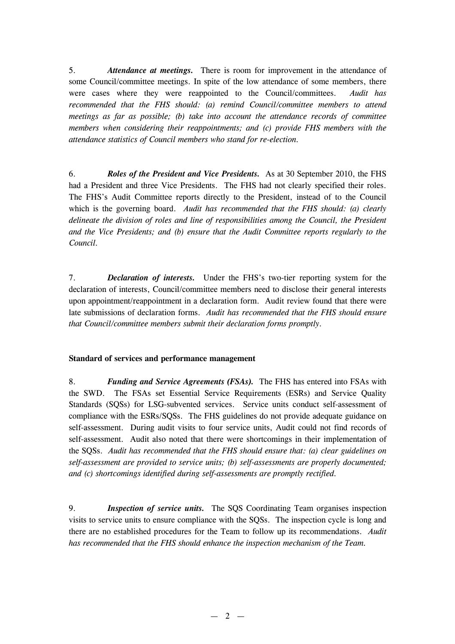5. *Attendance at meetings.* There is room for improvement in the attendance of some Council/committee meetings. In spite of the low attendance of some members, there were cases where they were reappointed to the Council/committees. *Audit has recommended that the FHS should: (a) remind Council/committee members to attend meetings as far as possible; (b) take into account the attendance records of committee members when considering their reappointments; and (c) provide FHS members with the attendance statistics of Council members who stand for re-election.*

6. *Roles of the President and Vice Presidents.* As at 30 September 2010, the FHS had a President and three Vice Presidents. The FHS had not clearly specified their roles. The FHS's Audit Committee reports directly to the President, instead of to the Council which is the governing board. *Audit has recommended that the FHS should: (a) clearly delineate the division of roles and line of responsibilities among the Council, the President and the Vice Presidents; and (b) ensure that the Audit Committee reports regularly to the Council.*

7. *Declaration of interests.* Under the FHS's two-tier reporting system for the declaration of interests, Council/committee members need to disclose their general interests upon appointment/reappointment in a declaration form. Audit review found that there were late submissions of declaration forms. *Audit has recommended that the FHS should ensure that Council/committee members submit their declaration forms promptly.*

#### **Standard of services and performance management**

8. *Funding and Service Agreements (FSAs).* The FHS has entered into FSAs with the SWD. The FSAs set Essential Service Requirements (ESRs) and Service Quality Standards (SQSs) for LSG-subvented services. Service units conduct self-assessment of compliance with the ESRs/SQSs. The FHS guidelines do not provide adequate guidance on self-assessment. During audit visits to four service units, Audit could not find records of self-assessment. Audit also noted that there were shortcomings in their implementation of the SQSs. *Audit has recommended that the FHS should ensure that: (a) clear guidelines on self-assessment are provided to service units; (b) self-assessments are properly documented; and (c) shortcomings identified during self-assessments are promptly rectified.*

9. *Inspection of service units.* The SQS Coordinating Team organises inspection visits to service units to ensure compliance with the SQSs. The inspection cycle is long and there are no established procedures for the Team to follow up its recommendations. *Audit has recommended that the FHS should enhance the inspection mechanism of the Team.*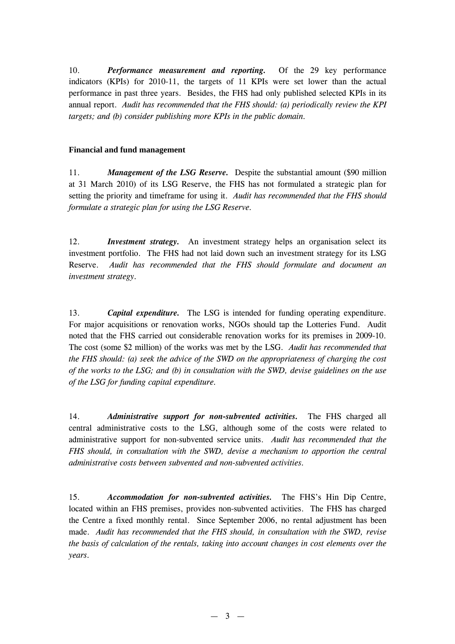10. *Performance measurement and reporting.* Of the 29 key performance indicators (KPIs) for 2010-11, the targets of 11 KPIs were set lower than the actual performance in past three years. Besides, the FHS had only published selected KPIs in its annual report. *Audit has recommended that the FHS should: (a) periodically review the KPI targets; and (b) consider publishing more KPIs in the public domain.*

#### **Financial and fund management**

11. *Management of the LSG Reserve.* Despite the substantial amount (\$90 million at 31 March 2010) of its LSG Reserve, the FHS has not formulated a strategic plan for setting the priority and timeframe for using it. *Audit has recommended that the FHS should formulate a strategic plan for using the LSG Reserve.*

12. *Investment strategy.* An investment strategy helps an organisation select its investment portfolio. The FHS had not laid down such an investment strategy for its LSG Reserve. *Audit has recommended that the FHS should formulate and document an investment strategy.*

13. *Capital expenditure.* The LSG is intended for funding operating expenditure. For major acquisitions or renovation works, NGOs should tap the Lotteries Fund. Audit noted that the FHS carried out considerable renovation works for its premises in 2009-10. The cost (some \$2 million) of the works was met by the LSG. *Audit has recommended that the FHS should: (a) seek the advice of the SWD on the appropriateness of charging the cost of the works to the LSG; and (b) in consultation with the SWD, devise guidelines on the use of the LSG for funding capital expenditure.*

14. *Administrative support for non-subvented activities.* The FHS charged all central administrative costs to the LSG, although some of the costs were related to administrative support for non-subvented service units. *Audit has recommended that the FHS should, in consultation with the SWD, devise a mechanism to apportion the central administrative costs between subvented and non-subvented activities.*

15. *Accommodation for non-subvented activities.* The FHS's Hin Dip Centre, located within an FHS premises, provides non-subvented activities. The FHS has charged the Centre a fixed monthly rental. Since September 2006, no rental adjustment has been made. *Audit has recommended that the FHS should, in consultation with the SWD, revise the basis of calculation of the rentals, taking into account changes in cost elements over the years.*